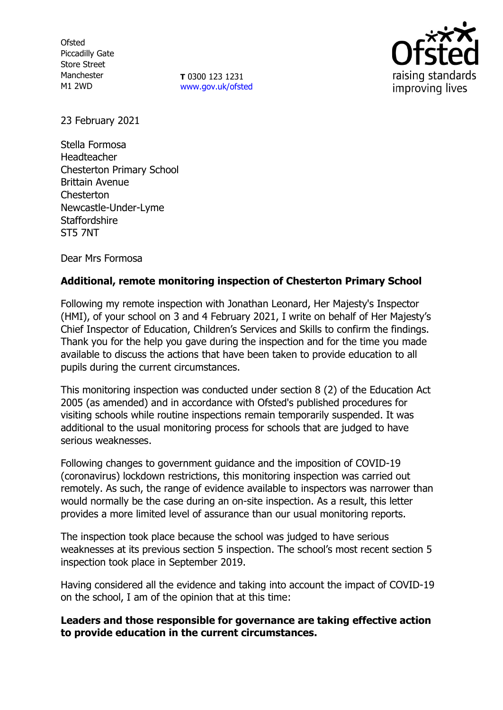**Ofsted** Piccadilly Gate Store Street Manchester M1 2WD

**T** 0300 123 1231 [www.gov.uk/ofsted](http://www.gov.uk/ofsted)



23 February 2021

Stella Formosa Headteacher Chesterton Primary School Brittain Avenue **Chesterton** Newcastle-Under-Lyme **Staffordshire** ST5 7NT

Dear Mrs Formosa

# **Additional, remote monitoring inspection of Chesterton Primary School**

Following my remote inspection with Jonathan Leonard, Her Majesty's Inspector (HMI), of your school on 3 and 4 February 2021, I write on behalf of Her Majesty's Chief Inspector of Education, Children's Services and Skills to confirm the findings. Thank you for the help you gave during the inspection and for the time you made available to discuss the actions that have been taken to provide education to all pupils during the current circumstances.

This monitoring inspection was conducted under section 8 (2) of the Education Act 2005 (as amended) and in accordance with Ofsted's published procedures for visiting schools while routine inspections remain temporarily suspended. It was additional to the usual monitoring process for schools that are judged to have serious weaknesses.

Following changes to government guidance and the imposition of COVID-19 (coronavirus) lockdown restrictions, this monitoring inspection was carried out remotely. As such, the range of evidence available to inspectors was narrower than would normally be the case during an on-site inspection. As a result, this letter provides a more limited level of assurance than our usual monitoring reports.

The inspection took place because the school was judged to have serious weaknesses at its previous section 5 inspection. The school's most recent section 5 inspection took place in September 2019.

Having considered all the evidence and taking into account the impact of COVID-19 on the school, I am of the opinion that at this time:

## **Leaders and those responsible for governance are taking effective action to provide education in the current circumstances.**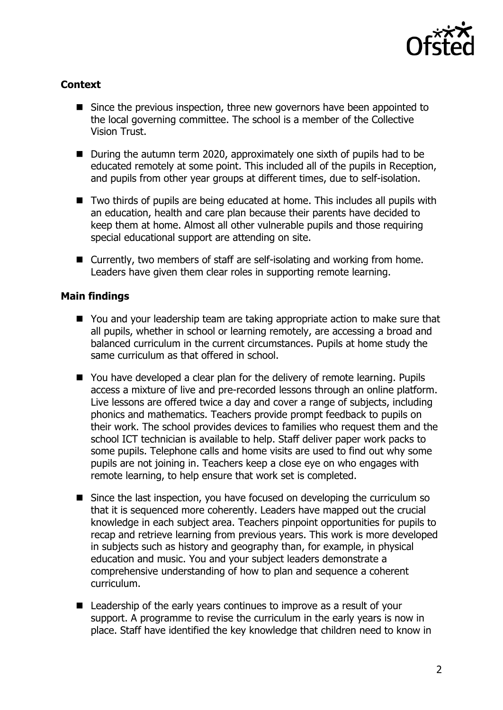

## **Context**

- Since the previous inspection, three new governors have been appointed to the local governing committee. The school is a member of the Collective Vision Trust.
- During the autumn term 2020, approximately one sixth of pupils had to be educated remotely at some point. This included all of the pupils in Reception, and pupils from other year groups at different times, due to self-isolation.
- Two thirds of pupils are being educated at home. This includes all pupils with an education, health and care plan because their parents have decided to keep them at home. Almost all other vulnerable pupils and those requiring special educational support are attending on site.
- Currently, two members of staff are self-isolating and working from home. Leaders have given them clear roles in supporting remote learning.

#### **Main findings**

- You and your leadership team are taking appropriate action to make sure that all pupils, whether in school or learning remotely, are accessing a broad and balanced curriculum in the current circumstances. Pupils at home study the same curriculum as that offered in school.
- You have developed a clear plan for the delivery of remote learning. Pupils access a mixture of live and pre-recorded lessons through an online platform. Live lessons are offered twice a day and cover a range of subjects, including phonics and mathematics. Teachers provide prompt feedback to pupils on their work. The school provides devices to families who request them and the school ICT technician is available to help. Staff deliver paper work packs to some pupils. Telephone calls and home visits are used to find out why some pupils are not joining in. Teachers keep a close eye on who engages with remote learning, to help ensure that work set is completed.
- Since the last inspection, you have focused on developing the curriculum so that it is sequenced more coherently. Leaders have mapped out the crucial knowledge in each subject area. Teachers pinpoint opportunities for pupils to recap and retrieve learning from previous years. This work is more developed in subjects such as history and geography than, for example, in physical education and music. You and your subject leaders demonstrate a comprehensive understanding of how to plan and sequence a coherent curriculum.
- Leadership of the early years continues to improve as a result of your support. A programme to revise the curriculum in the early years is now in place. Staff have identified the key knowledge that children need to know in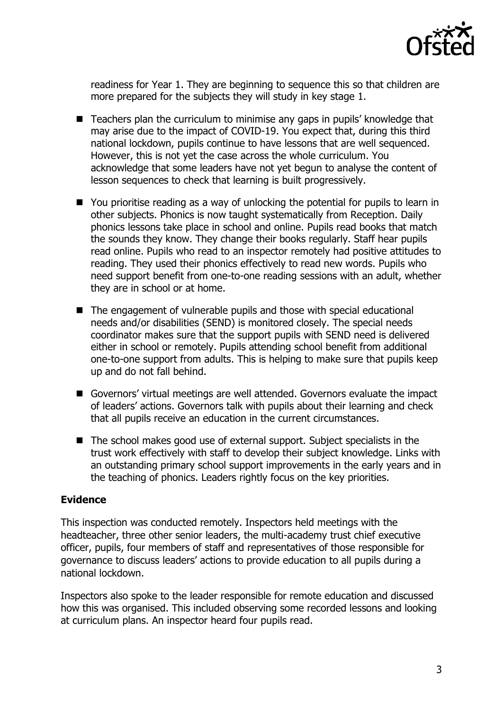

readiness for Year 1. They are beginning to sequence this so that children are more prepared for the subjects they will study in key stage 1.

- Teachers plan the curriculum to minimise any gaps in pupils' knowledge that may arise due to the impact of COVID-19. You expect that, during this third national lockdown, pupils continue to have lessons that are well sequenced. However, this is not yet the case across the whole curriculum. You acknowledge that some leaders have not yet begun to analyse the content of lesson sequences to check that learning is built progressively.
- You prioritise reading as a way of unlocking the potential for pupils to learn in other subjects. Phonics is now taught systematically from Reception. Daily phonics lessons take place in school and online. Pupils read books that match the sounds they know. They change their books regularly. Staff hear pupils read online. Pupils who read to an inspector remotely had positive attitudes to reading. They used their phonics effectively to read new words. Pupils who need support benefit from one-to-one reading sessions with an adult, whether they are in school or at home.
- $\blacksquare$  The engagement of vulnerable pupils and those with special educational needs and/or disabilities (SEND) is monitored closely. The special needs coordinator makes sure that the support pupils with SEND need is delivered either in school or remotely. Pupils attending school benefit from additional one-to-one support from adults. This is helping to make sure that pupils keep up and do not fall behind.
- Governors' virtual meetings are well attended. Governors evaluate the impact of leaders' actions. Governors talk with pupils about their learning and check that all pupils receive an education in the current circumstances.
- The school makes good use of external support. Subject specialists in the trust work effectively with staff to develop their subject knowledge. Links with an outstanding primary school support improvements in the early years and in the teaching of phonics. Leaders rightly focus on the key priorities.

#### **Evidence**

This inspection was conducted remotely. Inspectors held meetings with the headteacher, three other senior leaders, the multi-academy trust chief executive officer, pupils, four members of staff and representatives of those responsible for governance to discuss leaders' actions to provide education to all pupils during a national lockdown.

Inspectors also spoke to the leader responsible for remote education and discussed how this was organised. This included observing some recorded lessons and looking at curriculum plans. An inspector heard four pupils read.